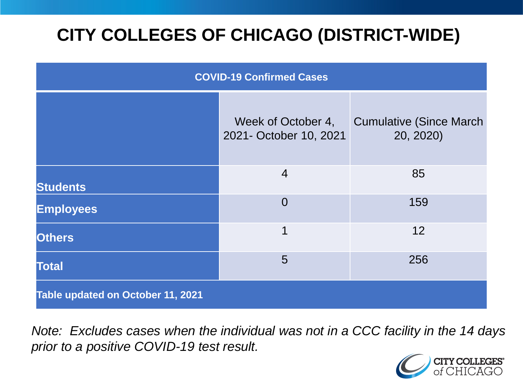# **CITY COLLEGES OF CHICAGO (DISTRICT-WIDE)**

| <b>COVID-19 Confirmed Cases</b>   |                                              |                                              |
|-----------------------------------|----------------------------------------------|----------------------------------------------|
|                                   | Week of October 4,<br>2021- October 10, 2021 | <b>Cumulative (Since March)</b><br>20, 2020) |
| <b>Students</b>                   | $\overline{4}$                               | 85                                           |
| <b>Employees</b>                  | $\overline{0}$                               | 159                                          |
| <b>Others</b>                     | 1                                            | 12                                           |
| <b>Total</b>                      | 5                                            | 256                                          |
| Table updated on October 11, 2021 |                                              |                                              |

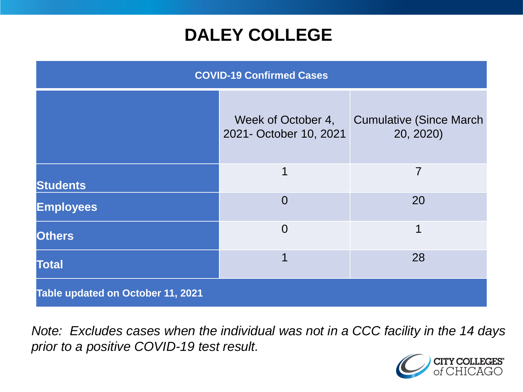### **DALEY COLLEGE**

| <b>COVID-19 Confirmed Cases</b>   |                                              |                                              |
|-----------------------------------|----------------------------------------------|----------------------------------------------|
|                                   | Week of October 4,<br>2021- October 10, 2021 | <b>Cumulative (Since March)</b><br>20, 2020) |
| <b>Students</b>                   | 1                                            | $\overline{7}$                               |
| <b>Employees</b>                  | $\Omega$                                     | 20                                           |
| <b>Others</b>                     | $\Omega$                                     | 1                                            |
| <b>Total</b>                      | 1                                            | 28                                           |
| Table updated on October 11, 2021 |                                              |                                              |

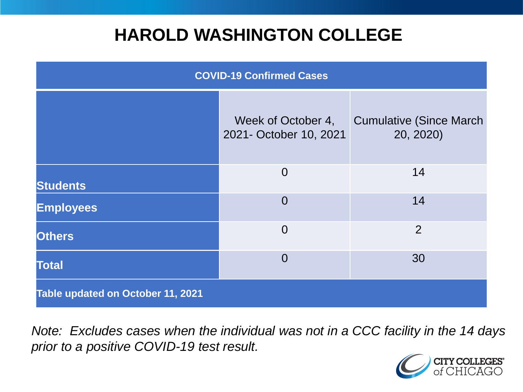### **HAROLD WASHINGTON COLLEGE**

| <b>COVID-19 Confirmed Cases</b>   |                                              |                                              |
|-----------------------------------|----------------------------------------------|----------------------------------------------|
|                                   | Week of October 4,<br>2021- October 10, 2021 | <b>Cumulative (Since March)</b><br>20, 2020) |
| <b>Students</b>                   | $\overline{0}$                               | 14                                           |
| <b>Employees</b>                  | $\Omega$                                     | 14                                           |
| <b>Others</b>                     | $\overline{0}$                               | $\overline{2}$                               |
| <b>Total</b>                      | $\Omega$                                     | 30                                           |
| Table updated on October 11, 2021 |                                              |                                              |

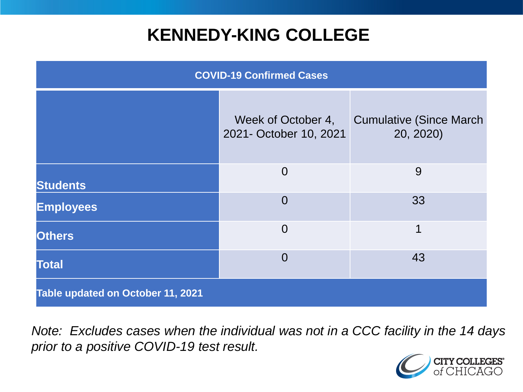### **KENNEDY-KING COLLEGE**

| <b>COVID-19 Confirmed Cases</b>   |                                              |                                              |
|-----------------------------------|----------------------------------------------|----------------------------------------------|
|                                   | Week of October 4,<br>2021- October 10, 2021 | <b>Cumulative (Since March)</b><br>20, 2020) |
| <b>Students</b>                   | $\overline{0}$                               | 9                                            |
| <b>Employees</b>                  | $\overline{0}$                               | 33                                           |
| <b>Others</b>                     | $\overline{0}$                               | 1                                            |
| <b>Total</b>                      | $\overline{0}$                               | 43                                           |
| Table updated on October 11, 2021 |                                              |                                              |

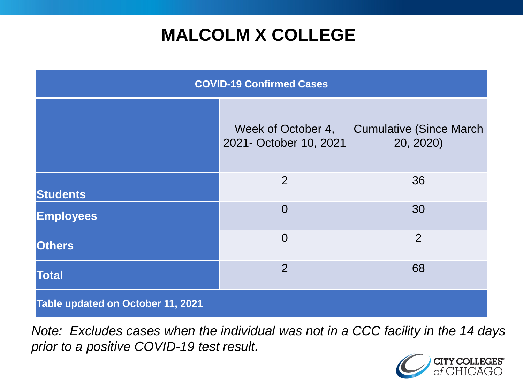# **MALCOLM X COLLEGE**

| <b>COVID-19 Confirmed Cases</b>   |                                              |                                              |
|-----------------------------------|----------------------------------------------|----------------------------------------------|
|                                   | Week of October 4,<br>2021- October 10, 2021 | <b>Cumulative (Since March)</b><br>20, 2020) |
| <b>Students</b>                   | 2                                            | 36                                           |
| <b>Employees</b>                  | $\overline{0}$                               | 30                                           |
| <b>Others</b>                     | $\overline{0}$                               | $\overline{2}$                               |
| <b>Total</b>                      | $\overline{2}$                               | 68                                           |
| Table updated on October 11, 2021 |                                              |                                              |

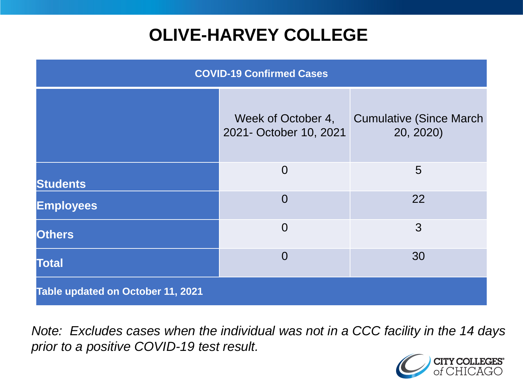# **OLIVE-HARVEY COLLEGE**

| <b>COVID-19 Confirmed Cases</b>   |                                              |                                              |
|-----------------------------------|----------------------------------------------|----------------------------------------------|
|                                   | Week of October 4,<br>2021- October 10, 2021 | <b>Cumulative (Since March)</b><br>20, 2020) |
| <b>Students</b>                   | $\overline{0}$                               | $5\overline{)}$                              |
| <b>Employees</b>                  | $\Omega$                                     | 22                                           |
| <b>Others</b>                     | $\overline{0}$                               | 3                                            |
| <b>Total</b>                      | $\Omega$                                     | 30                                           |
| Table updated on October 11, 2021 |                                              |                                              |

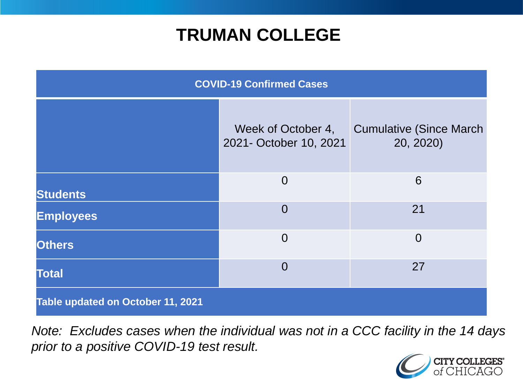### **TRUMAN COLLEGE**

| <b>COVID-19 Confirmed Cases</b>   |                                              |                                              |
|-----------------------------------|----------------------------------------------|----------------------------------------------|
|                                   | Week of October 4,<br>2021- October 10, 2021 | <b>Cumulative (Since March)</b><br>20, 2020) |
| <b>Students</b>                   | $\overline{0}$                               | 6                                            |
| <b>Employees</b>                  | $\overline{0}$                               | 21                                           |
| <b>Others</b>                     | $\overline{0}$                               | $\overline{0}$                               |
| <b>Total</b>                      | $\overline{0}$                               | 27                                           |
| Table updated on October 11, 2021 |                                              |                                              |

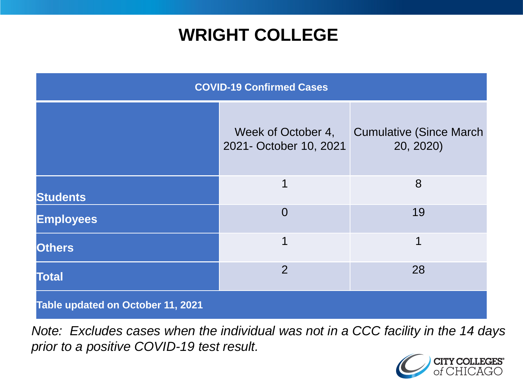### **WRIGHT COLLEGE**

| <b>COVID-19 Confirmed Cases</b>   |                                              |                                              |
|-----------------------------------|----------------------------------------------|----------------------------------------------|
|                                   | Week of October 4,<br>2021- October 10, 2021 | <b>Cumulative (Since March)</b><br>20, 2020) |
| <b>Students</b>                   | 1                                            | 8                                            |
| <b>Employees</b>                  | $\overline{0}$                               | 19                                           |
| <b>Others</b>                     | $\overline{1}$                               | 1                                            |
| <b>Total</b>                      | $\overline{2}$                               | 28                                           |
| Table updated on October 11, 2021 |                                              |                                              |